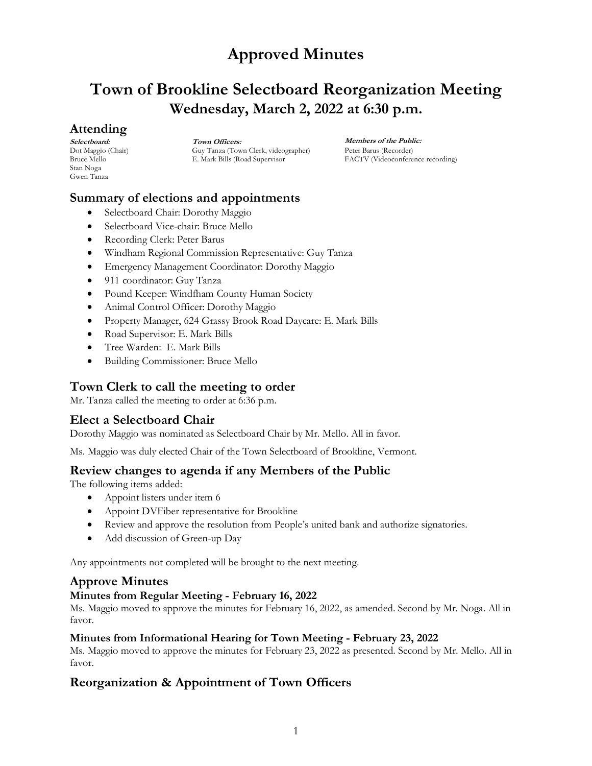# **Town of Brookline Selectboard Reorganization Meeting Wednesday, March 2, 2022 at 6:30 p.m.**

## **Attending**

**Selectboard:** Dot Maggio (Chair) Bruce Mello Stan Noga Gwen Tanza

**Town Officers:** Guy Tanza (Town Clerk, videographer) E. Mark Bills (Road Supervisor

**Members of the Public:** Peter Barus (Recorder) FACTV (Videoconference recording)

## **Summary of elections and appointments**

- Selectboard Chair: Dorothy Maggio
- Selectboard Vice-chair: Bruce Mello
- Recording Clerk: Peter Barus
- Windham Regional Commission Representative: Guy Tanza
- Emergency Management Coordinator: Dorothy Maggio
- 911 coordinator: Guy Tanza
- Pound Keeper: Windfham County Human Society
- Animal Control Officer: Dorothy Maggio
- Property Manager, 624 Grassy Brook Road Daycare: E. Mark Bills
- Road Supervisor: E. Mark Bills
- Tree Warden: E. Mark Bills
- Building Commissioner: Bruce Mello

## **Town Clerk to call the meeting to order**

Mr. Tanza called the meeting to order at 6:36 p.m.

## **Elect a Selectboard Chair**

Dorothy Maggio was nominated as Selectboard Chair by Mr. Mello. All in favor.

Ms. Maggio was duly elected Chair of the Town Selectboard of Brookline, Vermont.

### **Review changes to agenda if any Members of the Public**

The following items added:

- Appoint listers under item 6
- Appoint DVFiber representative for Brookline
- Review and approve the resolution from People's united bank and authorize signatories.
- Add discussion of Green-up Day

Any appointments not completed will be brought to the next meeting.

## **Approve Minutes**

### **Minutes from Regular Meeting - February 16, 2022**

Ms. Maggio moved to approve the minutes for February 16, 2022, as amended. Second by Mr. Noga. All in favor.

#### **Minutes from Informational Hearing for Town Meeting - February 23, 2022**

Ms. Maggio moved to approve the minutes for February 23, 2022 as presented. Second by Mr. Mello. All in favor.

## **Reorganization & Appointment of Town Officers**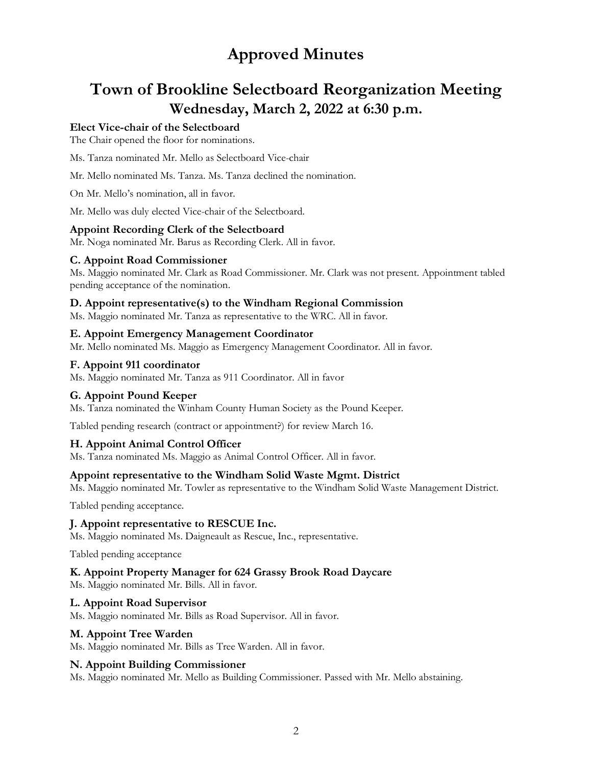# **Town of Brookline Selectboard Reorganization Meeting Wednesday, March 2, 2022 at 6:30 p.m.**

### **Elect Vice-chair of the Selectboard**

The Chair opened the floor for nominations.

Ms. Tanza nominated Mr. Mello as Selectboard Vice-chair

Mr. Mello nominated Ms. Tanza. Ms. Tanza declined the nomination.

On Mr. Mello's nomination, all in favor.

Mr. Mello was duly elected Vice-chair of the Selectboard.

#### **Appoint Recording Clerk of the Selectboard**

Mr. Noga nominated Mr. Barus as Recording Clerk. All in favor.

#### **C. Appoint Road Commissioner**

Ms. Maggio nominated Mr. Clark as Road Commissioner. Mr. Clark was not present. Appointment tabled pending acceptance of the nomination.

#### **D. Appoint representative(s) to the Windham Regional Commission**

Ms. Maggio nominated Mr. Tanza as representative to the WRC. All in favor.

#### **E. Appoint Emergency Management Coordinator**

Mr. Mello nominated Ms. Maggio as Emergency Management Coordinator. All in favor.

#### **F. Appoint 911 coordinator**

Ms. Maggio nominated Mr. Tanza as 911 Coordinator. All in favor

#### **G. Appoint Pound Keeper**

Ms. Tanza nominated the Winham County Human Society as the Pound Keeper.

Tabled pending research (contract or appointment?) for review March 16.

#### **H. Appoint Animal Control Officer**

Ms. Tanza nominated Ms. Maggio as Animal Control Officer. All in favor.

#### **Appoint representative to the Windham Solid Waste Mgmt. District**

Ms. Maggio nominated Mr. Towler as representative to the Windham Solid Waste Management District.

Tabled pending acceptance.

#### **J. Appoint representative to RESCUE Inc.**

Ms. Maggio nominated Ms. Daigneault as Rescue, Inc., representative.

Tabled pending acceptance

#### **K. Appoint Property Manager for 624 Grassy Brook Road Daycare**

Ms. Maggio nominated Mr. Bills. All in favor.

#### **L. Appoint Road Supervisor**

Ms. Maggio nominated Mr. Bills as Road Supervisor. All in favor.

#### **M. Appoint Tree Warden**

Ms. Maggio nominated Mr. Bills as Tree Warden. All in favor.

#### **N. Appoint Building Commissioner**

Ms. Maggio nominated Mr. Mello as Building Commissioner. Passed with Mr. Mello abstaining.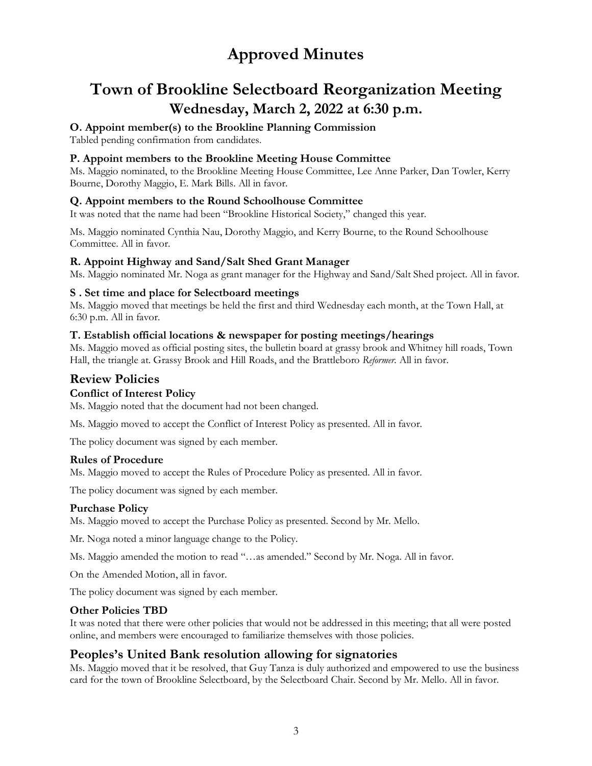# **Town of Brookline Selectboard Reorganization Meeting Wednesday, March 2, 2022 at 6:30 p.m.**

### **O. Appoint member(s) to the Brookline Planning Commission**

Tabled pending confirmation from candidates.

### **P. Appoint members to the Brookline Meeting House Committee**

Ms. Maggio nominated, to the Brookline Meeting House Committee, Lee Anne Parker, Dan Towler, Kerry Bourne, Dorothy Maggio, E. Mark Bills. All in favor.

### **Q. Appoint members to the Round Schoolhouse Committee**

It was noted that the name had been "Brookline Historical Society," changed this year.

Ms. Maggio nominated Cynthia Nau, Dorothy Maggio, and Kerry Bourne, to the Round Schoolhouse Committee. All in favor.

### **R. Appoint Highway and Sand/Salt Shed Grant Manager**

Ms. Maggio nominated Mr. Noga as grant manager for the Highway and Sand/Salt Shed project. All in favor.

### **S . Set time and place for Selectboard meetings**

Ms. Maggio moved that meetings be held the first and third Wednesday each month, at the Town Hall, at 6:30 p.m. All in favor.

### **T. Establish official locations & newspaper for posting meetings/hearings**

Ms. Maggio moved as official posting sites, the bulletin board at grassy brook and Whitney hill roads, Town Hall, the triangle at. Grassy Brook and Hill Roads, and the Brattleboro *Reformer.* All in favor.

## **Review Policies**

### **Conflict of Interest Policy**

Ms. Maggio noted that the document had not been changed.

Ms. Maggio moved to accept the Conflict of Interest Policy as presented. All in favor.

The policy document was signed by each member.

### **Rules of Procedure**

Ms. Maggio moved to accept the Rules of Procedure Policy as presented. All in favor.

The policy document was signed by each member.

### **Purchase Policy**

Ms. Maggio moved to accept the Purchase Policy as presented. Second by Mr. Mello.

Mr. Noga noted a minor language change to the Policy.

Ms. Maggio amended the motion to read "…as amended." Second by Mr. Noga. All in favor.

On the Amended Motion, all in favor.

The policy document was signed by each member.

### **Other Policies TBD**

It was noted that there were other policies that would not be addressed in this meeting; that all were posted online, and members were encouraged to familiarize themselves with those policies.

## **Peoples's United Bank resolution allowing for signatories**

Ms. Maggio moved that it be resolved, that Guy Tanza is duly authorized and empowered to use the business card for the town of Brookline Selectboard, by the Selectboard Chair. Second by Mr. Mello. All in favor.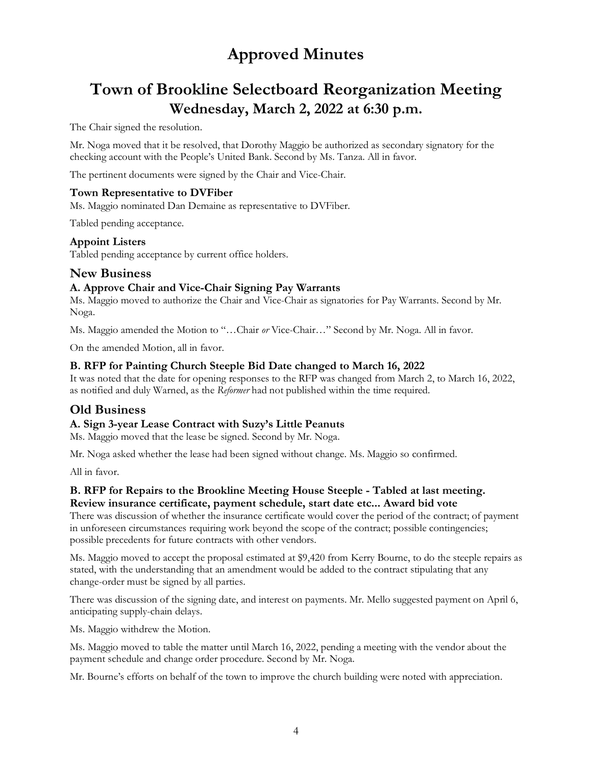# **Town of Brookline Selectboard Reorganization Meeting Wednesday, March 2, 2022 at 6:30 p.m.**

The Chair signed the resolution.

Mr. Noga moved that it be resolved, that Dorothy Maggio be authorized as secondary signatory for the checking account with the People's United Bank. Second by Ms. Tanza. All in favor.

The pertinent documents were signed by the Chair and Vice-Chair.

### **Town Representative to DVFiber**

Ms. Maggio nominated Dan Demaine as representative to DVFiber.

Tabled pending acceptance.

### **Appoint Listers**

Tabled pending acceptance by current office holders.

## **New Business**

### **A. Approve Chair and Vice-Chair Signing Pay Warrants**

Ms. Maggio moved to authorize the Chair and Vice-Chair as signatories for Pay Warrants. Second by Mr. Noga.

Ms. Maggio amended the Motion to "…Chair *or* Vice-Chair…" Second by Mr. Noga. All in favor.

On the amended Motion, all in favor.

### **B. RFP for Painting Church Steeple Bid Date changed to March 16, 2022**

It was noted that the date for opening responses to the RFP was changed from March 2, to March 16, 2022, as notified and duly Warned, as the *Reformer* had not published within the time required.

## **Old Business**

### **A. Sign 3-year Lease Contract with Suzy's Little Peanuts**

Ms. Maggio moved that the lease be signed. Second by Mr. Noga.

Mr. Noga asked whether the lease had been signed without change. Ms. Maggio so confirmed.

All in favor.

### **B. RFP for Repairs to the Brookline Meeting House Steeple - Tabled at last meeting. Review insurance certificate, payment schedule, start date etc... Award bid vote**

There was discussion of whether the insurance certificate would cover the period of the contract; of payment in unforeseen circumstances requiring work beyond the scope of the contract; possible contingencies; possible precedents for future contracts with other vendors.

Ms. Maggio moved to accept the proposal estimated at \$9,420 from Kerry Bourne, to do the steeple repairs as stated, with the understanding that an amendment would be added to the contract stipulating that any change-order must be signed by all parties.

There was discussion of the signing date, and interest on payments. Mr. Mello suggested payment on April 6, anticipating supply-chain delays.

Ms. Maggio withdrew the Motion.

Ms. Maggio moved to table the matter until March 16, 2022, pending a meeting with the vendor about the payment schedule and change order procedure. Second by Mr. Noga.

Mr. Bourne's efforts on behalf of the town to improve the church building were noted with appreciation.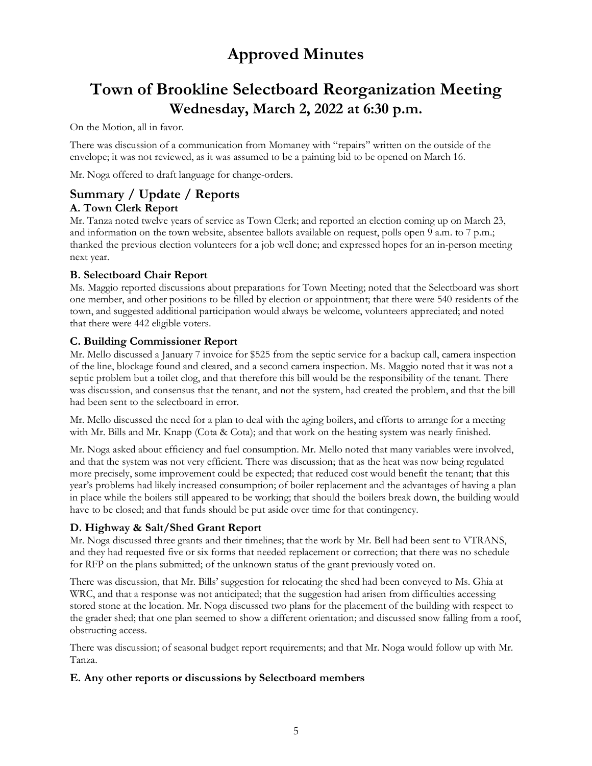# **Town of Brookline Selectboard Reorganization Meeting Wednesday, March 2, 2022 at 6:30 p.m.**

On the Motion, all in favor.

There was discussion of a communication from Momaney with "repairs" written on the outside of the envelope; it was not reviewed, as it was assumed to be a painting bid to be opened on March 16.

Mr. Noga offered to draft language for change-orders.

## **Summary / Update / Reports A. Town Clerk Report**

Mr. Tanza noted twelve years of service as Town Clerk; and reported an election coming up on March 23, and information on the town website, absentee ballots available on request, polls open 9 a.m. to 7 p.m.; thanked the previous election volunteers for a job well done; and expressed hopes for an in-person meeting next year.

### **B. Selectboard Chair Report**

Ms. Maggio reported discussions about preparations for Town Meeting; noted that the Selectboard was short one member, and other positions to be filled by election or appointment; that there were 540 residents of the town, and suggested additional participation would always be welcome, volunteers appreciated; and noted that there were 442 eligible voters.

### **C. Building Commissioner Report**

Mr. Mello discussed a January 7 invoice for \$525 from the septic service for a backup call, camera inspection of the line, blockage found and cleared, and a second camera inspection. Ms. Maggio noted that it was not a septic problem but a toilet clog, and that therefore this bill would be the responsibility of the tenant. There was discussion, and consensus that the tenant, and not the system, had created the problem, and that the bill had been sent to the selectboard in error.

Mr. Mello discussed the need for a plan to deal with the aging boilers, and efforts to arrange for a meeting with Mr. Bills and Mr. Knapp (Cota & Cota); and that work on the heating system was nearly finished.

Mr. Noga asked about efficiency and fuel consumption. Mr. Mello noted that many variables were involved, and that the system was not very efficient. There was discussion; that as the heat was now being regulated more precisely, some improvement could be expected; that reduced cost would benefit the tenant; that this year's problems had likely increased consumption; of boiler replacement and the advantages of having a plan in place while the boilers still appeared to be working; that should the boilers break down, the building would have to be closed; and that funds should be put aside over time for that contingency.

## **D. Highway & Salt/Shed Grant Report**

Mr. Noga discussed three grants and their timelines; that the work by Mr. Bell had been sent to VTRANS, and they had requested five or six forms that needed replacement or correction; that there was no schedule for RFP on the plans submitted; of the unknown status of the grant previously voted on.

There was discussion, that Mr. Bills' suggestion for relocating the shed had been conveyed to Ms. Ghia at WRC, and that a response was not anticipated; that the suggestion had arisen from difficulties accessing stored stone at the location. Mr. Noga discussed two plans for the placement of the building with respect to the grader shed; that one plan seemed to show a different orientation; and discussed snow falling from a roof, obstructing access.

There was discussion; of seasonal budget report requirements; and that Mr. Noga would follow up with Mr. Tanza.

### **E. Any other reports or discussions by Selectboard members**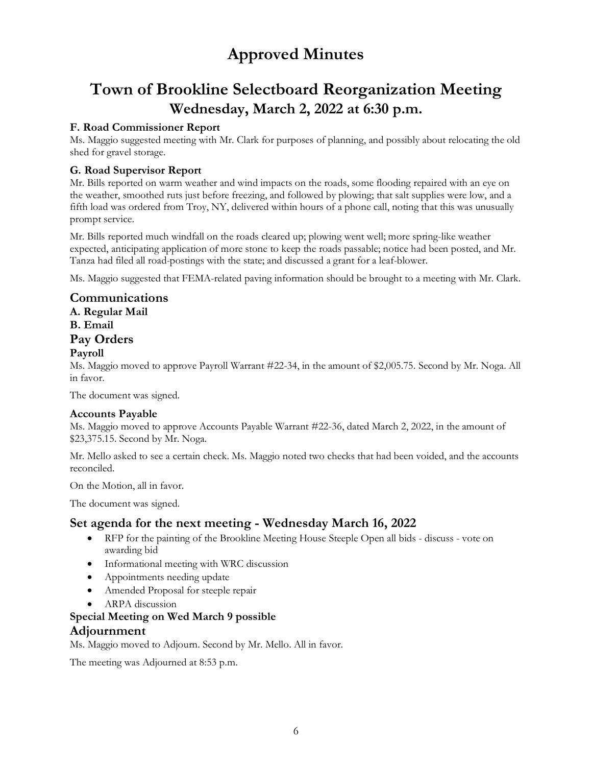# **Town of Brookline Selectboard Reorganization Meeting Wednesday, March 2, 2022 at 6:30 p.m.**

## **F. Road Commissioner Report**

Ms. Maggio suggested meeting with Mr. Clark for purposes of planning, and possibly about relocating the old shed for gravel storage.

### **G. Road Supervisor Report**

Mr. Bills reported on warm weather and wind impacts on the roads, some flooding repaired with an eye on the weather, smoothed ruts just before freezing, and followed by plowing; that salt supplies were low, and a fifth load was ordered from Troy, NY, delivered within hours of a phone call, noting that this was unusually prompt service.

Mr. Bills reported much windfall on the roads cleared up; plowing went well; more spring-like weather expected, anticipating application of more stone to keep the roads passable; notice had been posted, and Mr. Tanza had filed all road-postings with the state; and discussed a grant for a leaf-blower.

Ms. Maggio suggested that FEMA-related paving information should be brought to a meeting with Mr. Clark.

## **Communications**

**A. Regular Mail**

**B. Email**

## **Pay Orders**

### **Payroll**

Ms. Maggio moved to approve Payroll Warrant #22-34, in the amount of \$2,005.75. Second by Mr. Noga. All in favor.

The document was signed.

### **Accounts Payable**

Ms. Maggio moved to approve Accounts Payable Warrant #22-36, dated March 2, 2022, in the amount of \$23,375.15. Second by Mr. Noga.

Mr. Mello asked to see a certain check. Ms. Maggio noted two checks that had been voided, and the accounts reconciled.

On the Motion, all in favor.

The document was signed.

## **Set agenda for the next meeting - Wednesday March 16, 2022**

- RFP for the painting of the Brookline Meeting House Steeple Open all bids discuss vote on awarding bid
- Informational meeting with WRC discussion
- Appointments needing update
- Amended Proposal for steeple repair
- ARPA discussion

## **Special Meeting on Wed March 9 possible Adjournment**

Ms. Maggio moved to Adjourn. Second by Mr. Mello. All in favor.

The meeting was Adjourned at 8:53 p.m.